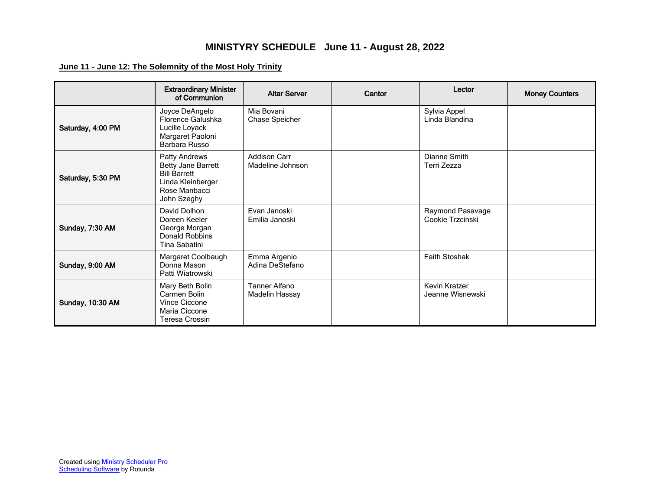# **MINISTYRY SCHEDULE June 11 - August 28, 2022**

**June 11 - June 12: The Solemnity of the Most Holy Trinity**

|                         | <b>Extraordinary Minister</b><br>of Communion                                                                   | <b>Altar Server</b>                    | Cantor | Lector                               | <b>Money Counters</b> |
|-------------------------|-----------------------------------------------------------------------------------------------------------------|----------------------------------------|--------|--------------------------------------|-----------------------|
| Saturday, 4:00 PM       | Joyce DeAngelo<br>Florence Galushka<br>Lucille Loyack<br>Margaret Paoloni<br>Barbara Russo                      | Mia Bovani<br>Chase Speicher           |        | Sylvia Appel<br>Linda Blandina       |                       |
| Saturday, 5:30 PM       | Patty Andrews<br>Betty Jane Barrett<br><b>Bill Barrett</b><br>Linda Kleinberger<br>Rose Manbacci<br>John Szeghy | Addison Carr<br>Madeline Johnson       |        | Dianne Smith<br>Terri Zezza          |                       |
| Sunday, 7:30 AM         | David Dolhon<br>Doreen Keeler<br>George Morgan<br>Donald Robbins<br>Tina Sabatini                               | Evan Janoski<br>Emilia Janoski         |        | Raymond Pasavage<br>Cookie Trzcinski |                       |
| Sunday, 9:00 AM         | Margaret Coolbaugh<br>Donna Mason<br>Patti Wiatrowski                                                           | Emma Argenio<br>Adina DeStefano        |        | Faith Stoshak                        |                       |
| <b>Sunday, 10:30 AM</b> | Mary Beth Bolin<br>Carmen Bolin<br>Vince Ciccone<br>Maria Ciccone<br>Teresa Crossin                             | <b>Tanner Alfano</b><br>Madelin Hassay |        | Kevin Kratzer<br>Jeanne Wisnewski    |                       |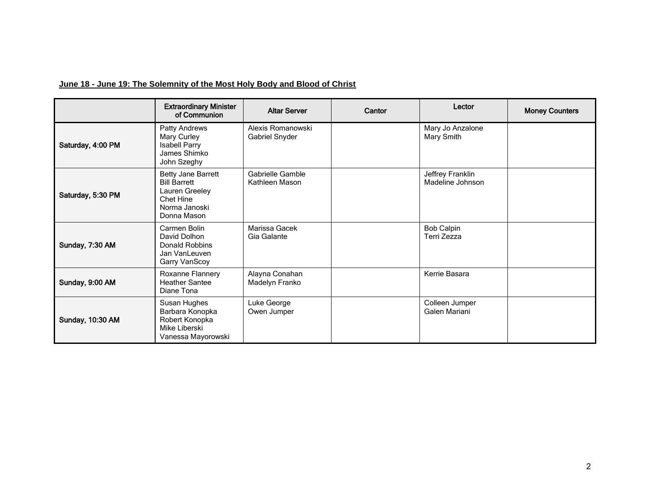## **June 18 - June 19: The Solemnity of the Most Holy Body and Blood of Christ**

|                   | <b>Extraordinary Minister</b><br>of Communion                                                            | <b>Altar Server</b>                 | Cantor | Lector                               | <b>Money Counters</b> |
|-------------------|----------------------------------------------------------------------------------------------------------|-------------------------------------|--------|--------------------------------------|-----------------------|
| Saturday, 4:00 PM | Patty Andrews<br>Mary Curley<br><b>Isabell Parry</b><br>James Shimko<br>John Szeghy                      | Alexis Romanowski<br>Gabriel Snyder |        | Mary Jo Anzalone<br>Mary Smith       |                       |
| Saturday, 5:30 PM | Betty Jane Barrett<br><b>Bill Barrett</b><br>Lauren Greeley<br>Chet Hine<br>Norma Janoski<br>Donna Mason | Gabrielle Gamble<br>Kathleen Mason  |        | Jeffrey Franklin<br>Madeline Johnson |                       |
| Sunday, 7:30 AM   | Carmen Bolin<br>David Dolhon<br>Donald Robbins<br>Jan VanLeuven<br>Garry VanScoy                         | Marissa Gacek<br>Gia Galante        |        | <b>Bob Calpin</b><br>Terri Zezza     |                       |
| Sunday, 9:00 AM   | Roxanne Flannery<br><b>Heather Santee</b><br>Diane Tona                                                  | Alayna Conahan<br>Madelyn Franko    |        | Kerrie Basara                        |                       |
| Sunday, 10:30 AM  | Susan Hughes<br>Barbara Konopka<br>Robert Konopka<br>Mike Liberski<br>Vanessa Mayorowski                 | Luke George<br>Owen Jumper          |        | Colleen Jumper<br>Galen Mariani      |                       |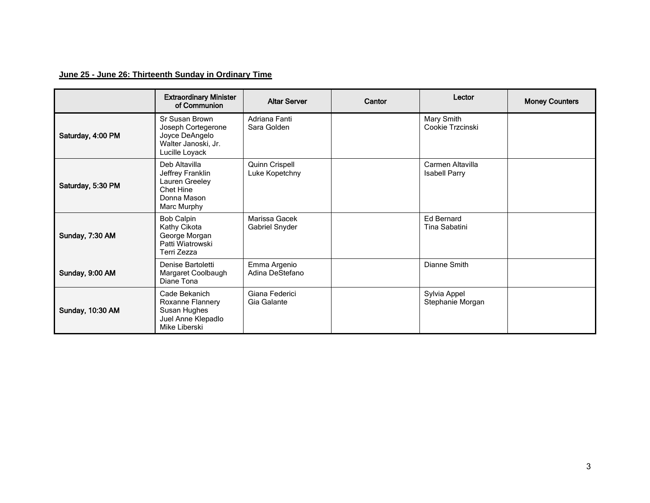## **June 25 - June 26: Thirteenth Sunday in Ordinary Time**

|                         | <b>Extraordinary Minister</b><br>of Communion                                                   | <b>Altar Server</b>              | Cantor | Lector                                   | <b>Money Counters</b> |
|-------------------------|-------------------------------------------------------------------------------------------------|----------------------------------|--------|------------------------------------------|-----------------------|
| Saturday, 4:00 PM       | Sr Susan Brown<br>Joseph Cortegerone<br>Joyce DeAngelo<br>Walter Janoski, Jr.<br>Lucille Loyack | Adriana Fanti<br>Sara Golden     |        | Mary Smith<br>Cookie Trzcinski           |                       |
| Saturday, 5:30 PM       | Deb Altavilla<br>Jeffrey Franklin<br>Lauren Greeley<br>Chet Hine<br>Donna Mason<br>Marc Murphy  | Quinn Crispell<br>Luke Kopetchny |        | Carmen Altavilla<br><b>Isabell Parry</b> |                       |
| Sunday, 7:30 AM         | <b>Bob Calpin</b><br>Kathy Cikota<br>George Morgan<br>Patti Wiatrowski<br>Terri Zezza           | Marissa Gacek<br>Gabriel Snyder  |        | <b>Ed Bernard</b><br>Tina Sabatini       |                       |
| Sunday, 9:00 AM         | Denise Bartoletti<br>Margaret Coolbaugh<br>Diane Tona                                           | Emma Argenio<br>Adina DeStefano  |        | Dianne Smith                             |                       |
| <b>Sunday, 10:30 AM</b> | Cade Bekanich<br>Roxanne Flannery<br>Susan Hughes<br>Juel Anne Klepadlo<br>Mike Liberski        | Giana Federici<br>Gia Galante    |        | Sylvia Appel<br>Stephanie Morgan         |                       |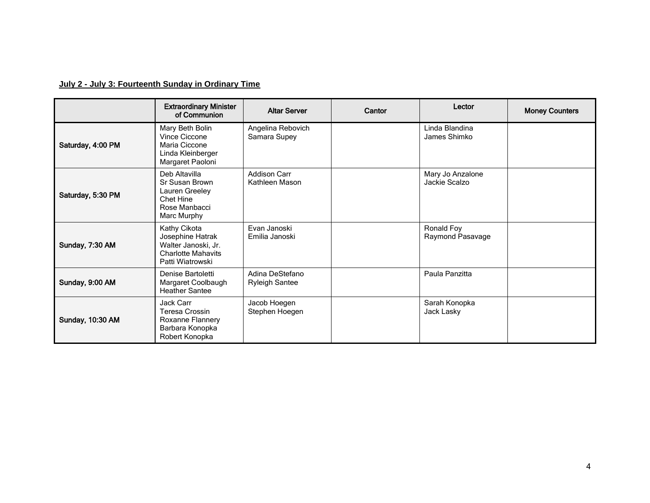## **July 2 - July 3: Fourteenth Sunday in Ordinary Time**

|                   | <b>Extraordinary Minister</b><br>of Communion                                                            | <b>Altar Server</b>                      | Cantor | Lector                            | <b>Money Counters</b> |
|-------------------|----------------------------------------------------------------------------------------------------------|------------------------------------------|--------|-----------------------------------|-----------------------|
| Saturday, 4:00 PM | Mary Beth Bolin<br>Vince Ciccone<br>Maria Ciccone<br>Linda Kleinberger<br>Margaret Paoloni               | Angelina Rebovich<br>Samara Supey        |        | Linda Blandina<br>James Shimko    |                       |
| Saturday, 5:30 PM | Deb Altavilla<br>Sr Susan Brown<br>Lauren Greeley<br>Chet Hine<br>Rose Manbacci<br>Marc Murphy           | <b>Addison Carr</b><br>Kathleen Mason    |        | Mary Jo Anzalone<br>Jackie Scalzo |                       |
| Sunday, 7:30 AM   | Kathy Cikota<br>Josephine Hatrak<br>Walter Janoski, Jr.<br><b>Charlotte Mahavits</b><br>Patti Wiatrowski | Evan Janoski<br>Emilia Janoski           |        | Ronald Foy<br>Raymond Pasavage    |                       |
| Sunday, 9:00 AM   | Denise Bartoletti<br>Margaret Coolbaugh<br><b>Heather Santee</b>                                         | Adina DeStefano<br><b>Ryleigh Santee</b> |        | Paula Panzitta                    |                       |
| Sunday, 10:30 AM  | Jack Carr<br>Teresa Crossin<br>Roxanne Flannery<br>Barbara Konopka<br>Robert Konopka                     | Jacob Hoegen<br>Stephen Hoegen           |        | Sarah Konopka<br>Jack Lasky       |                       |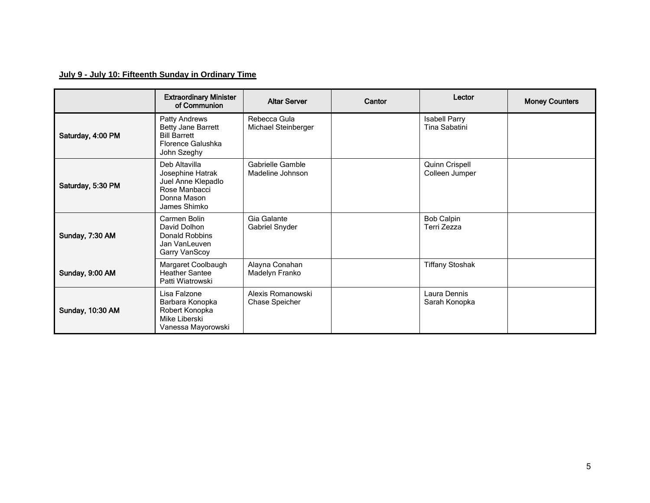# **July 9 - July 10: Fifteenth Sunday in Ordinary Time**

|                         | <b>Extraordinary Minister</b><br>of Communion                                                           | <b>Altar Server</b>                  | Cantor | Lector                                | <b>Money Counters</b> |
|-------------------------|---------------------------------------------------------------------------------------------------------|--------------------------------------|--------|---------------------------------------|-----------------------|
| Saturday, 4:00 PM       | Patty Andrews<br>Betty Jane Barrett<br><b>Bill Barrett</b><br>Florence Galushka<br>John Szeghy          | Rebecca Gula<br>Michael Steinberger  |        | <b>Isabell Parry</b><br>Tina Sabatini |                       |
| Saturday, 5:30 PM       | Deb Altavilla<br>Josephine Hatrak<br>Juel Anne Klepadlo<br>Rose Manbacci<br>Donna Mason<br>James Shimko | Gabrielle Gamble<br>Madeline Johnson |        | Quinn Crispell<br>Colleen Jumper      |                       |
| Sunday, 7:30 AM         | Carmen Bolin<br>David Dolhon<br>Donald Robbins<br>Jan VanLeuven<br>Garry VanScoy                        | Gia Galante<br>Gabriel Snyder        |        | <b>Bob Calpin</b><br>Terri Zezza      |                       |
| Sunday, 9:00 AM         | Margaret Coolbaugh<br><b>Heather Santee</b><br>Patti Wiatrowski                                         | Alayna Conahan<br>Madelyn Franko     |        | <b>Tiffany Stoshak</b>                |                       |
| <b>Sunday, 10:30 AM</b> | Lisa Falzone<br>Barbara Konopka<br>Robert Konopka<br>Mike Liberski<br>Vanessa Mayorowski                | Alexis Romanowski<br>Chase Speicher  |        | Laura Dennis<br>Sarah Konopka         |                       |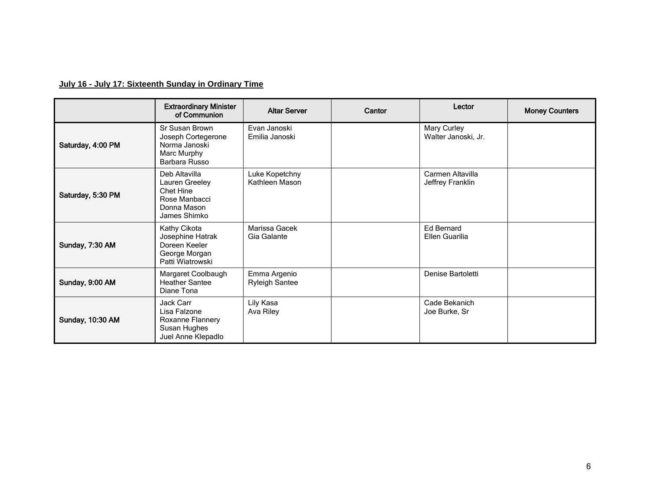## **July 16 - July 17: Sixteenth Sunday in Ordinary Time**

|                   | <b>Extraordinary Minister</b><br>of Communion                                                | <b>Altar Server</b>                   | Cantor | Lector                               | <b>Money Counters</b> |
|-------------------|----------------------------------------------------------------------------------------------|---------------------------------------|--------|--------------------------------------|-----------------------|
| Saturday, 4:00 PM | Sr Susan Brown<br>Joseph Cortegerone<br>Norma Janoski<br>Marc Murphy<br>Barbara Russo        | Evan Janoski<br>Emilia Janoski        |        | Mary Curley<br>Walter Janoski, Jr.   |                       |
| Saturday, 5:30 PM | Deb Altavilla<br>Lauren Greeley<br>Chet Hine<br>Rose Manbacci<br>Donna Mason<br>James Shimko | Luke Kopetchny<br>Kathleen Mason      |        | Carmen Altavilla<br>Jeffrey Franklin |                       |
| Sunday, 7:30 AM   | Kathy Cikota<br>Josephine Hatrak<br>Doreen Keeler<br>George Morgan<br>Patti Wiatrowski       | Marissa Gacek<br>Gia Galante          |        | Ed Bernard<br>Ellen Guarilia         |                       |
| Sunday, 9:00 AM   | Margaret Coolbaugh<br><b>Heather Santee</b><br>Diane Tona                                    | Emma Argenio<br><b>Ryleigh Santee</b> |        | Denise Bartoletti                    |                       |
| Sunday, 10:30 AM  | Jack Carr<br>Lisa Falzone<br>Roxanne Flannery<br>Susan Hughes<br>Juel Anne Klepadlo          | Lily Kasa<br>Ava Riley                |        | Cade Bekanich<br>Joe Burke, Sr       |                       |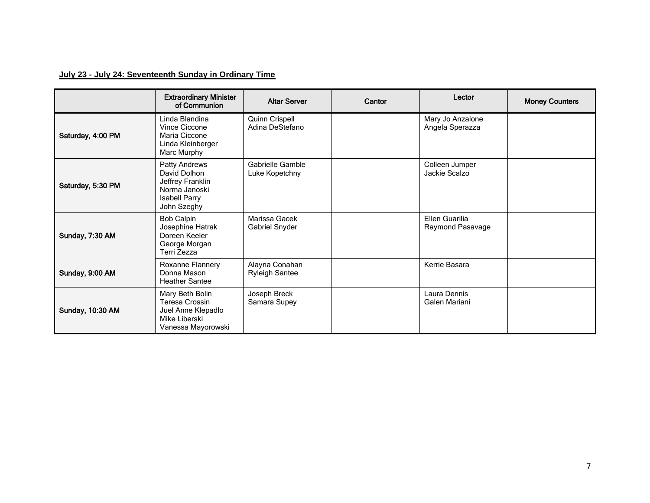## **July 23 - July 24: Seventeenth Sunday in Ordinary Time**

|                         | <b>Extraordinary Minister</b><br>of Communion                                                             | <b>Altar Server</b>                     | Cantor | Lector                              | <b>Money Counters</b> |
|-------------------------|-----------------------------------------------------------------------------------------------------------|-----------------------------------------|--------|-------------------------------------|-----------------------|
| Saturday, 4:00 PM       | Linda Blandina<br>Vince Ciccone<br>Maria Ciccone<br>Linda Kleinberger<br>Marc Murphy                      | Quinn Crispell<br>Adina DeStefano       |        | Mary Jo Anzalone<br>Angela Sperazza |                       |
| Saturday, 5:30 PM       | Patty Andrews<br>David Dolhon<br>Jeffrey Franklin<br>Norma Janoski<br><b>Isabell Parry</b><br>John Szeghy | Gabrielle Gamble<br>Luke Kopetchny      |        | Colleen Jumper<br>Jackie Scalzo     |                       |
| Sunday, 7:30 AM         | <b>Bob Calpin</b><br>Josephine Hatrak<br>Doreen Keeler<br>George Morgan<br>Terri Zezza                    | Marissa Gacek<br>Gabriel Snyder         |        | Ellen Guarilia<br>Raymond Pasavage  |                       |
| Sunday, 9:00 AM         | Roxanne Flannery<br>Donna Mason<br><b>Heather Santee</b>                                                  | Alayna Conahan<br><b>Ryleigh Santee</b> |        | Kerrie Basara                       |                       |
| <b>Sunday, 10:30 AM</b> | Mary Beth Bolin<br>Teresa Crossin<br>Juel Anne Klepadlo<br>Mike Liberski<br>Vanessa Mayorowski            | Joseph Breck<br>Samara Supey            |        | Laura Dennis<br>Galen Mariani       |                       |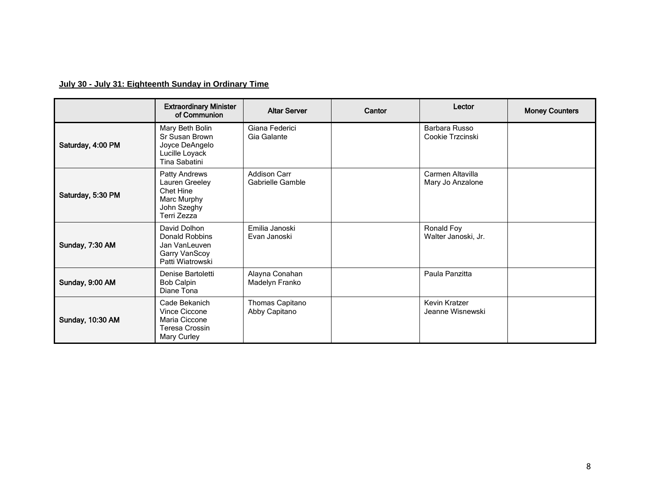## **July 30 - July 31: Eighteenth Sunday in Ordinary Time**

|                   | <b>Extraordinary Minister</b><br>of Communion                                             | <b>Altar Server</b>                     | Cantor | Lector                               | <b>Money Counters</b> |
|-------------------|-------------------------------------------------------------------------------------------|-----------------------------------------|--------|--------------------------------------|-----------------------|
| Saturday, 4:00 PM | Mary Beth Bolin<br>Sr Susan Brown<br>Joyce DeAngelo<br>Lucille Loyack<br>Tina Sabatini    | Giana Federici<br>Gia Galante           |        | Barbara Russo<br>Cookie Trzcinski    |                       |
| Saturday, 5:30 PM | Patty Andrews<br>Lauren Greeley<br>Chet Hine<br>Marc Murphy<br>John Szeghy<br>Terri Zezza | <b>Addison Carr</b><br>Gabrielle Gamble |        | Carmen Altavilla<br>Mary Jo Anzalone |                       |
| Sunday, 7:30 AM   | David Dolhon<br>Donald Robbins<br>Jan VanLeuven<br>Garry VanScoy<br>Patti Wiatrowski      | Emilia Janoski<br>Evan Janoski          |        | Ronald Foy<br>Walter Janoski, Jr.    |                       |
| Sunday, 9:00 AM   | Denise Bartoletti<br><b>Bob Calpin</b><br>Diane Tona                                      | Alayna Conahan<br>Madelyn Franko        |        | Paula Panzitta                       |                       |
| Sunday, 10:30 AM  | Cade Bekanich<br>Vince Ciccone<br>Maria Ciccone<br>Teresa Crossin<br>Mary Curley          | Thomas Capitano<br>Abby Capitano        |        | Kevin Kratzer<br>Jeanne Wisnewski    |                       |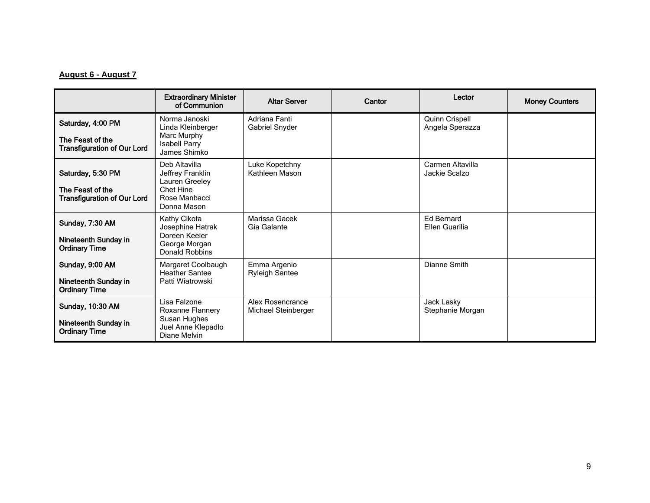# **August 6 - August 7**

|                                                                             | <b>Extraordinary Minister</b><br>of Communion                                                    | <b>Altar Server</b>                     | Cantor | Lector                              | <b>Money Counters</b> |
|-----------------------------------------------------------------------------|--------------------------------------------------------------------------------------------------|-----------------------------------------|--------|-------------------------------------|-----------------------|
| Saturday, 4:00 PM<br>The Feast of the<br><b>Transfiguration of Our Lord</b> | Norma Janoski<br>Linda Kleinberger<br>Marc Murphy<br><b>Isabell Parry</b><br>James Shimko        | Adriana Fanti<br>Gabriel Snyder         |        | Quinn Crispell<br>Angela Sperazza   |                       |
| Saturday, 5:30 PM<br>The Feast of the<br><b>Transfiguration of Our Lord</b> | Deb Altavilla<br>Jeffrey Franklin<br>Lauren Greeley<br>Chet Hine<br>Rose Manbacci<br>Donna Mason | Luke Kopetchny<br>Kathleen Mason        |        | Carmen Altavilla<br>Jackie Scalzo   |                       |
| Sunday, 7:30 AM<br>Nineteenth Sunday in<br><b>Ordinary Time</b>             | Kathy Cikota<br>Josephine Hatrak<br>Doreen Keeler<br>George Morgan<br>Donald Robbins             | Marissa Gacek<br>Gia Galante            |        | <b>Fd Bernard</b><br>Ellen Guarilia |                       |
| Sunday, 9:00 AM<br>Nineteenth Sunday in<br><b>Ordinary Time</b>             | Margaret Coolbaugh<br><b>Heather Santee</b><br>Patti Wiatrowski                                  | Emma Argenio<br><b>Ryleigh Santee</b>   |        | Dianne Smith                        |                       |
| Sunday, 10:30 AM<br>Nineteenth Sunday in<br><b>Ordinary Time</b>            | Lisa Falzone<br>Roxanne Flannery<br>Susan Hughes<br>Juel Anne Klepadlo<br>Diane Melvin           | Alex Rosencrance<br>Michael Steinberger |        | Jack Lasky<br>Stephanie Morgan      |                       |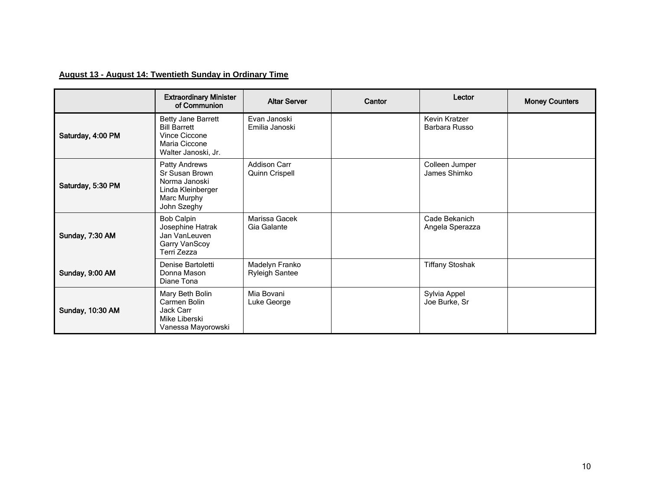## **August 13 - August 14: Twentieth Sunday in Ordinary Time**

|                   | <b>Extraordinary Minister</b><br>of Communion                                                       | <b>Altar Server</b>                     | Cantor | Lector                           | <b>Money Counters</b> |
|-------------------|-----------------------------------------------------------------------------------------------------|-----------------------------------------|--------|----------------------------------|-----------------------|
| Saturday, 4:00 PM | Betty Jane Barrett<br><b>Bill Barrett</b><br>Vince Ciccone<br>Maria Ciccone<br>Walter Janoski, Jr.  | Evan Janoski<br>Emilia Janoski          |        | Kevin Kratzer<br>Barbara Russo   |                       |
| Saturday, 5:30 PM | Patty Andrews<br>Sr Susan Brown<br>Norma Janoski<br>Linda Kleinberger<br>Marc Murphy<br>John Szeghy | <b>Addison Carr</b><br>Quinn Crispell   |        | Colleen Jumper<br>James Shimko   |                       |
| Sunday, 7:30 AM   | <b>Bob Calpin</b><br>Josephine Hatrak<br>Jan VanLeuven<br>Garry VanScoy<br>Terri Zezza              | Marissa Gacek<br>Gia Galante            |        | Cade Bekanich<br>Angela Sperazza |                       |
| Sunday, 9:00 AM   | Denise Bartoletti<br>Donna Mason<br>Diane Tona                                                      | Madelyn Franko<br><b>Ryleigh Santee</b> |        | <b>Tiffany Stoshak</b>           |                       |
| Sunday, 10:30 AM  | Mary Beth Bolin<br>Carmen Bolin<br>Jack Carr<br>Mike Liberski<br>Vanessa Mayorowski                 | Mia Bovani<br>Luke George               |        | Sylvia Appel<br>Joe Burke, Sr    |                       |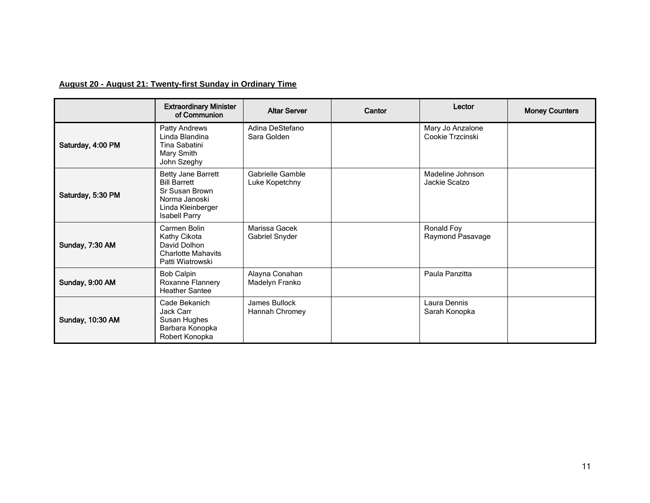## **August 20 - August 21: Twenty-first Sunday in Ordinary Time**

|                   | <b>Extraordinary Minister</b><br>of Communion                                                                                    | <b>Altar Server</b>                | Cantor | Lector                               | <b>Money Counters</b> |
|-------------------|----------------------------------------------------------------------------------------------------------------------------------|------------------------------------|--------|--------------------------------------|-----------------------|
| Saturday, 4:00 PM | Patty Andrews<br>Linda Blandina<br>Tina Sabatini<br>Mary Smith<br>John Szeghy                                                    | Adina DeStefano<br>Sara Golden     |        | Mary Jo Anzalone<br>Cookie Trzcinski |                       |
| Saturday, 5:30 PM | Betty Jane Barrett<br><b>Bill Barrett</b><br><b>Sr Susan Brown</b><br>Norma Janoski<br>Linda Kleinberger<br><b>Isabell Parry</b> | Gabrielle Gamble<br>Luke Kopetchny |        | Madeline Johnson<br>Jackie Scalzo    |                       |
| Sunday, 7:30 AM   | Carmen Bolin<br>Kathy Cikota<br>David Dolhon<br><b>Charlotte Mahavits</b><br>Patti Wiatrowski                                    | Marissa Gacek<br>Gabriel Snyder    |        | Ronald Foy<br>Raymond Pasavage       |                       |
| Sunday, 9:00 AM   | <b>Bob Calpin</b><br>Roxanne Flannery<br><b>Heather Santee</b>                                                                   | Alayna Conahan<br>Madelyn Franko   |        | Paula Panzitta                       |                       |
| Sunday, 10:30 AM  | Cade Bekanich<br>Jack Carr<br>Susan Hughes<br>Barbara Konopka<br>Robert Konopka                                                  | James Bullock<br>Hannah Chromey    |        | Laura Dennis<br>Sarah Konopka        |                       |